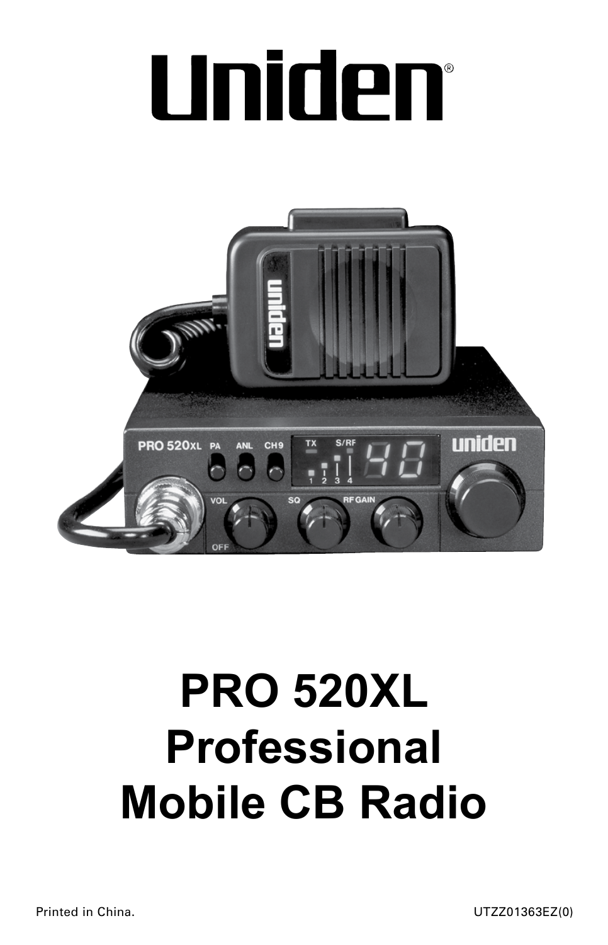# Uniden®



## **PRO 520XL Professional Mobile CB Radio**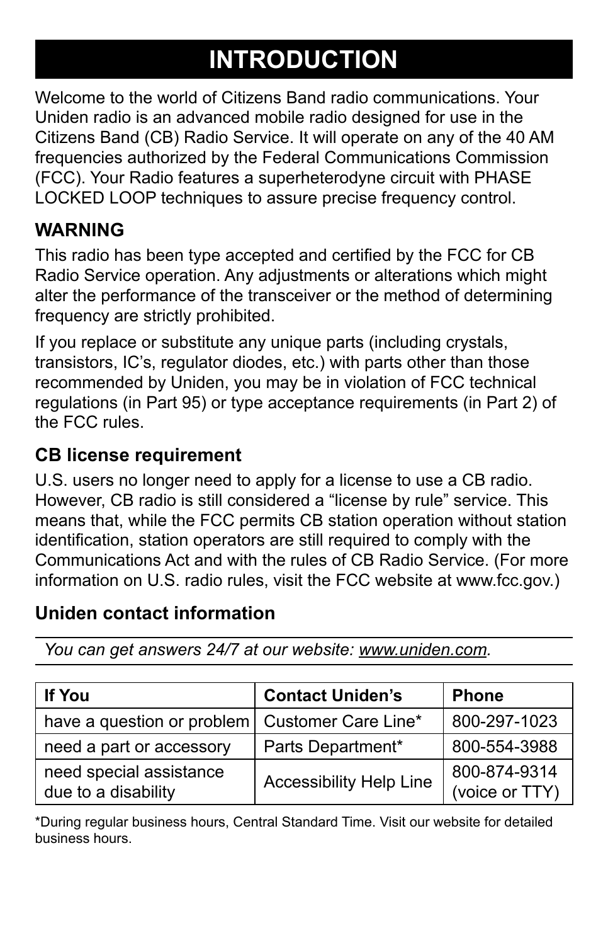## **INTRODUCTION**

Welcome to the world of Citizens Band radio communications. Your Uniden radio is an advanced mobile radio designed for use in the Citizens Band (CB) Radio Service. It will operate on any of the 40 AM frequencies authorized by the Federal Communications Commission (FCC). Your Radio features a superheterodyne circuit with PHASE LOCKED LOOP techniques to assure precise frequency control.

## **WARNING**

This radio has been type accepted and certified by the FCC for CB Radio Service operation. Any adjustments or alterations which might alter the performance of the transceiver or the method of determining frequency are strictly prohibited.

If you replace or substitute any unique parts (including crystals, transistors, IC's, regulator diodes, etc.) with parts other than those recommended by Uniden, you may be in violation of FCC technical regulations (in Part 95) or type acceptance requirements (in Part 2) of the FCC rules.

#### **CB license requirement**

U.S. users no longer need to apply for a license to use a CB radio. However, CB radio is still considered a "license by rule" service. This means that, while the FCC permits CB station operation without station identification, station operators are still required to comply with the Communications Act and with the rules of CB Radio Service. (For more information on U.S. radio rules, visit the FCC website at www.fcc.gov.)

## **Uniden contact information**

*You can get answers 24/7 at our website: www.uniden.com.*

| <b>If You</b>                                    | <b>Contact Uniden's</b>        | <b>Phone</b>                   |
|--------------------------------------------------|--------------------------------|--------------------------------|
| have a question or problem   Customer Care Line* |                                | 800-297-1023                   |
| need a part or accessory                         | Parts Department*              | 800-554-3988                   |
| need special assistance<br>due to a disability   | <b>Accessibility Help Line</b> | 800-874-9314<br>(voice or TTY) |

\*During regular business hours, Central Standard Time. Visit our website for detailed business hours.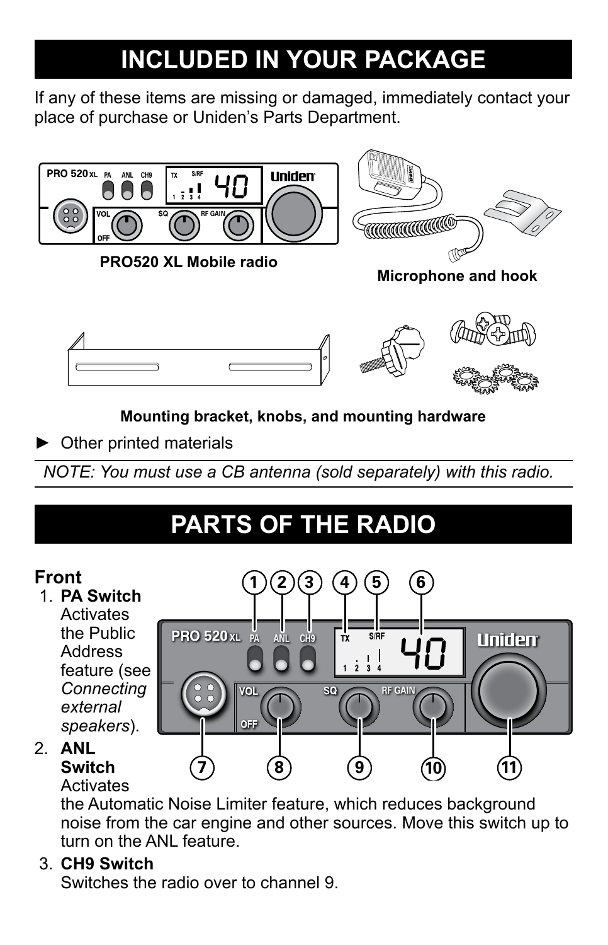## **INCLUDED IN YOUR PACKAGE**

If any of these items are missing or damaged, immediately contact your place of purchase or Uniden's Parts Department.





**Mounting bracket, knobs, and mounting hardware**

► Other printed materials

*NOTE: You must use a CB antenna (sold separately) with this radio.*

## **PARTS OF THE RADIO**



## **Activates**

the Automatic Noise Limiter feature, which reduces background noise from the car engine and other sources. Move this switch up to turn on the ANL feature.

#### 3. **CH9 Switch**

Switches the radio over to channel 9.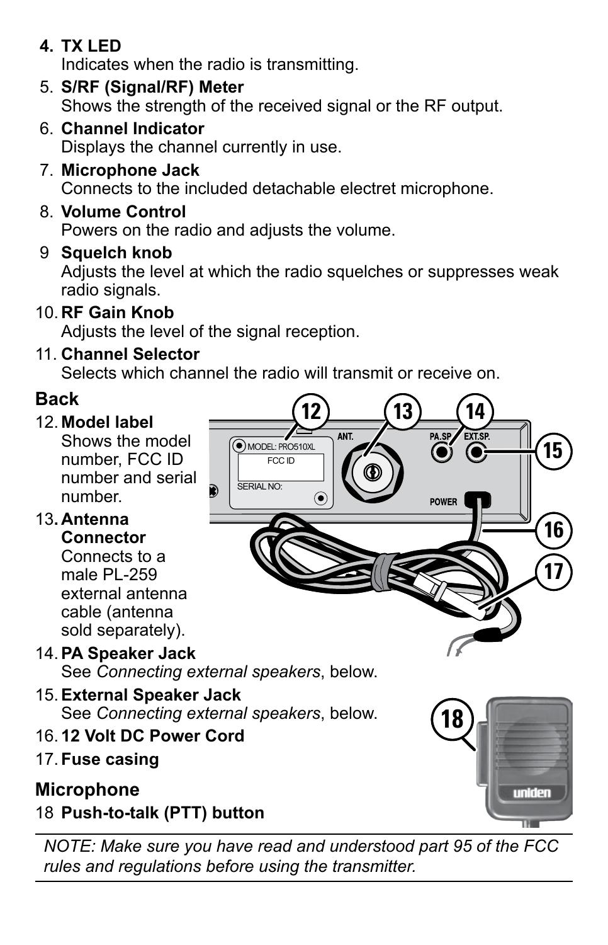## **4. TX LED**

Indicates when the radio is transmitting.

- 5. **S/RF (Signal/RF) Meter** Shows the strength of the received signal or the RF output.
- 6. **Channel Indicator** Displays the channel currently in use.
- 7. **Microphone Jack** Connects to the included detachable electret microphone.
- 8. **Volume Control**

Powers on the radio and adjusts the volume.

9 **Squelch knob**

Adjusts the level at which the radio squelches or suppresses weak radio signals.

10. **RF Gain Knob**

Adjusts the level of the signal reception.

11. **Channel Selector**

Selects which channel the radio will transmit or receive on.

## **Back**

## 12. **Model label**

Shows the model number, FCC ID number and serial number.

#### 13**. Antenna Connector**

Connects to a male PL-259 external antenna cable (antenna sold separately).

- 14.**PA Speaker Jack** See *Connecting external speakers*, below.
- 15.**External Speaker Jack** See *Connecting external speakers*, below.
- 16. **12 Volt DC Power Cord**
- 17. **Fuse casing**

## **Microphone**

18 **Push-to-talk (PTT) button**

**18**uniden

*NOTE: Make sure you have read and understood part 95 of the FCC rules and regulations before using the transmitter.*

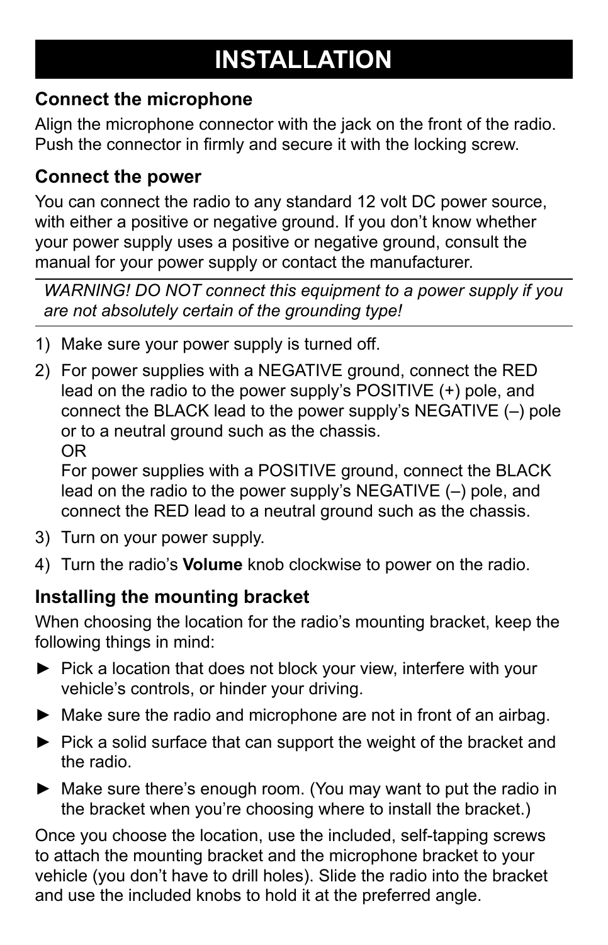## **INSTALLATION**

## **Connect the microphone**

Align the microphone connector with the jack on the front of the radio. Push the connector in firmly and secure it with the locking screw.

#### **Connect the power**

You can connect the radio to any standard 12 volt DC power source, with either a positive or negative ground. If you don't know whether your power supply uses a positive or negative ground, consult the manual for your power supply or contact the manufacturer.

*WARNING! DO NOT connect this equipment to a power supply if you are not absolutely certain of the grounding type!*

- 1) Make sure your power supply is turned off.
- For power supplies with a NEGATIVE ground, connect the RED 2) lead on the radio to the power supply's POSITIVE (+) pole, and connect the BLACK lead to the power supply's NEGATIVE (–) pole or to a neutral ground such as the chassis. OR

For power supplies with a POSITIVE ground, connect the BLACK lead on the radio to the power supply's NEGATIVE (–) pole, and connect the RED lead to a neutral ground such as the chassis.

- 3) Turn on your power supply.
- Turn the radio's **Volume** knob clockwise to power on the radio. 4)

## **Installing the mounting bracket**

When choosing the location for the radio's mounting bracket, keep the following things in mind:

- ► Pick a location that does not block your view, interfere with your vehicle's controls, or hinder your driving.
- ► Make sure the radio and microphone are not in front of an airbag.
- $\blacktriangleright$  Pick a solid surface that can support the weight of the bracket and the radio.
- ► Make sure there's enough room. (You may want to put the radio in the bracket when you're choosing where to install the bracket.)

Once you choose the location, use the included, self-tapping screws to attach the mounting bracket and the microphone bracket to your vehicle (you don't have to drill holes). Slide the radio into the bracket and use the included knobs to hold it at the preferred angle.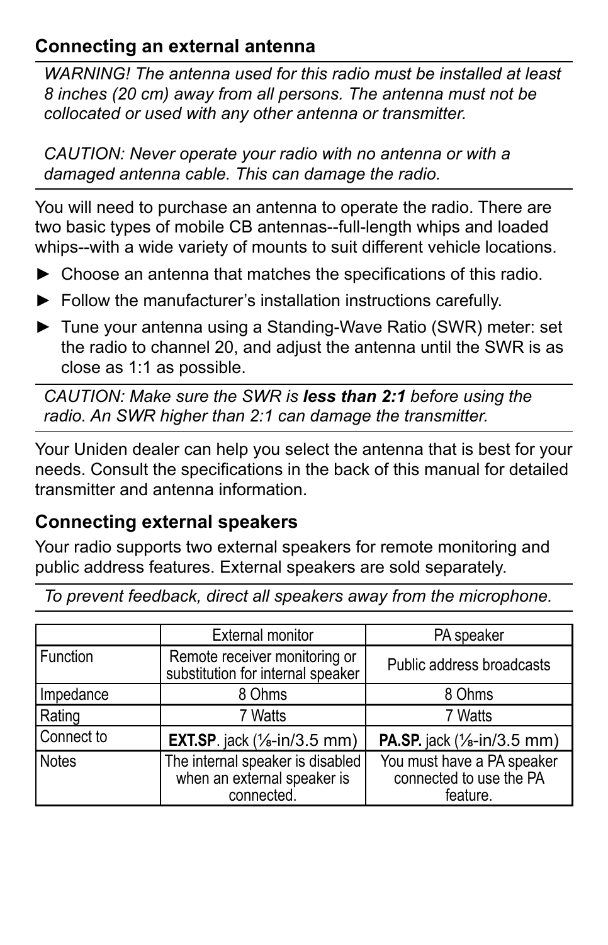#### **Connecting an external antenna**

*WARNING! The antenna used for this radio must be installed at least 8 inches (20 cm) away from all persons. The antenna must not be collocated or used with any other antenna or transmitter.* 

*CAUTION: Never operate your radio with no antenna or with a damaged antenna cable. This can damage the radio.*

You will need to purchase an antenna to operate the radio. There are two basic types of mobile CB antennas--full-length whips and loaded whips--with a wide variety of mounts to suit different vehicle locations.

- ► Choose an antenna that matches the specifications of this radio.
- ► Follow the manufacturer's installation instructions carefully.
- ► Tune your antenna using a Standing-Wave Ratio (SWR) meter: set the radio to channel 20, and adjust the antenna until the SWR is as close as 1:1 as possible.

*CAUTION: Make sure the SWR is less than 2:1 before using the radio. An SWR higher than 2:1 can damage the transmitter.*

Your Uniden dealer can help you select the antenna that is best for your needs. Consult the specifications in the back of this manual for detailed transmitter and antenna information.

## **Connecting external speakers**

Your radio supports two external speakers for remote monitoring and public address features. External speakers are sold separately.

|            | <b>External monitor</b>                                                       | PA speaker                                                        |
|------------|-------------------------------------------------------------------------------|-------------------------------------------------------------------|
| Function   | Remote receiver monitoring or<br>substitution for internal speaker            | Public address broadcasts                                         |
| Impedance  | 8 Ohms                                                                        | 8 Ohms                                                            |
| Rating     | 7 Watts                                                                       | 7 Watts                                                           |
| Connect to | <b>EXT.SP.</b> jack $(\frac{1}{3}$ -in/3.5 mm)                                | <b>PA.SP.</b> jack $(\frac{1}{6}$ -in/3.5 mm)                     |
| l Notes    | The internal speaker is disabled<br>when an external speaker is<br>connected. | You must have a PA speaker<br>connected to use the PA<br>feature. |

*To prevent feedback, direct all speakers away from the microphone.*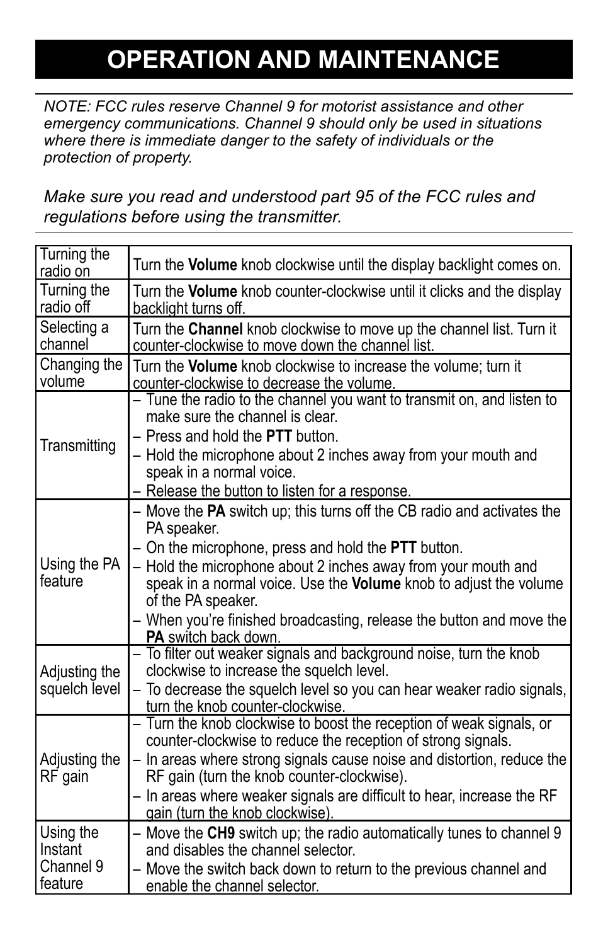## **OPERATION AND MAINTENANCE**

*NOTE: FCC rules reserve Channel 9 for motorist assistance and other emergency communications. Channel 9 should only be used in situations where there is immediate danger to the safety of individuals or the protection of property.*

*Make sure you read and understood part 95 of the FCC rules and regulations before using the transmitter.*

| Turning the<br>radio on               | Turn the Volume knob clockwise until the display backlight comes on.                                                                                                                                                                                                                                                                                                                                                                              |
|---------------------------------------|---------------------------------------------------------------------------------------------------------------------------------------------------------------------------------------------------------------------------------------------------------------------------------------------------------------------------------------------------------------------------------------------------------------------------------------------------|
| Turning the<br>radio off              | Turn the Volume knob counter-clockwise until it clicks and the display<br>backlight turns off.                                                                                                                                                                                                                                                                                                                                                    |
| Selecting a<br>channel                | Turn the Channel knob clockwise to move up the channel list. Turn it<br>counter-clockwise to move down the channel list.                                                                                                                                                                                                                                                                                                                          |
| Changing the<br>volume                | Turn the Volume knob clockwise to increase the volume; turn it<br>counter-clockwise to decrease the volume.                                                                                                                                                                                                                                                                                                                                       |
| Transmitting                          | - Tune the radio to the channel you want to transmit on, and listen to<br>make sure the channel is clear.<br>- Press and hold the PTT button.<br>- Hold the microphone about 2 inches away from your mouth and<br>speak in a normal voice.<br>- Release the button to listen for a response.                                                                                                                                                      |
| Using the PA<br>feature               | - Move the PA switch up; this turns off the CB radio and activates the<br>PA speaker.<br>- On the microphone, press and hold the <b>PTT</b> button.<br>- Hold the microphone about 2 inches away from your mouth and<br>speak in a normal voice. Use the Volume knob to adjust the volume<br>of the PA speaker.<br>- When you're finished broadcasting, release the button and move the<br><b>PA</b> switch back down.                            |
| Adjusting the<br>squelch level        | - To filter out weaker signals and background noise, turn the knob<br>clockwise to increase the squelch level.<br>- To decrease the squelch level so you can hear weaker radio signals,<br>turn the knob counter-clockwise.                                                                                                                                                                                                                       |
| Adjusting the<br>RF gain<br>Using the | - Turn the knob clockwise to boost the reception of weak signals, or<br>counter-clockwise to reduce the reception of strong signals.<br>- In areas where strong signals cause noise and distortion, reduce the<br>RF gain (turn the knob counter-clockwise).<br>- In areas where weaker signals are difficult to hear, increase the RF<br>gain (turn the knob clockwise).<br>- Move the CH9 switch up; the radio automatically tunes to channel 9 |
| Instant<br>Channel 9<br>feature       | and disables the channel selector.<br>- Move the switch back down to return to the previous channel and<br>enable the channel selector.                                                                                                                                                                                                                                                                                                           |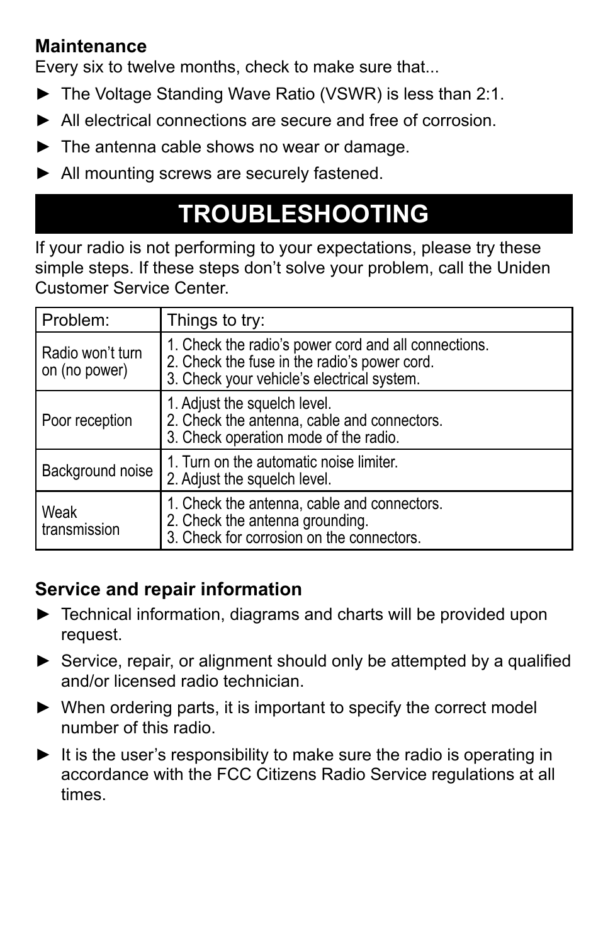#### **Maintenance**

Every six to twelve months, check to make sure that...

- ► The Voltage Standing Wave Ratio (VSWR) is less than 2:1.
- All electrical connections are secure and free of corrosion. ►
- ► The antenna cable shows no wear or damage.
- ► All mounting screws are securely fastened.

## **4. Inspect all screws and other mounting hardware. TROUBLESHOOTING**

If your radio is not performing to your expectations, please try these simple steps. If these steps don't solve your problem, call the Uniden Customer Service Center.

| Problem:                          | Things to try:                                                                                                                                     |
|-----------------------------------|----------------------------------------------------------------------------------------------------------------------------------------------------|
| Radio won't turn<br>on (no power) | 1. Check the radio's power cord and all connections.<br>2. Check the fuse in the radio's power cord.<br>3. Check your vehicle's electrical system. |
| Poor reception                    | 1. Adjust the squelch level.<br>2. Check the antenna, cable and connectors.<br>3. Check operation mode of the radio.                               |
| Background noise                  | 1. Turn on the automatic noise limiter.<br>2. Adjust the squelch level.                                                                            |
| Weak<br>transmission              | 1. Check the antenna, cable and connectors.<br>2. Check the antenna grounding.<br>3. Check for corrosion on the connectors.                        |

## **Service and repair information**

- ► Technical information, diagrams and charts will be provided upon request.
- ► Service, repair, or alignment should only be attempted by a qualified and/or licensed radio technician.
- ▶ When ordering parts, it is important to specify the correct model number of this radio.
- ► It is the user's responsibility to make sure the radio is operating in accordance with the FCC Citizens Radio Service regulations at all times.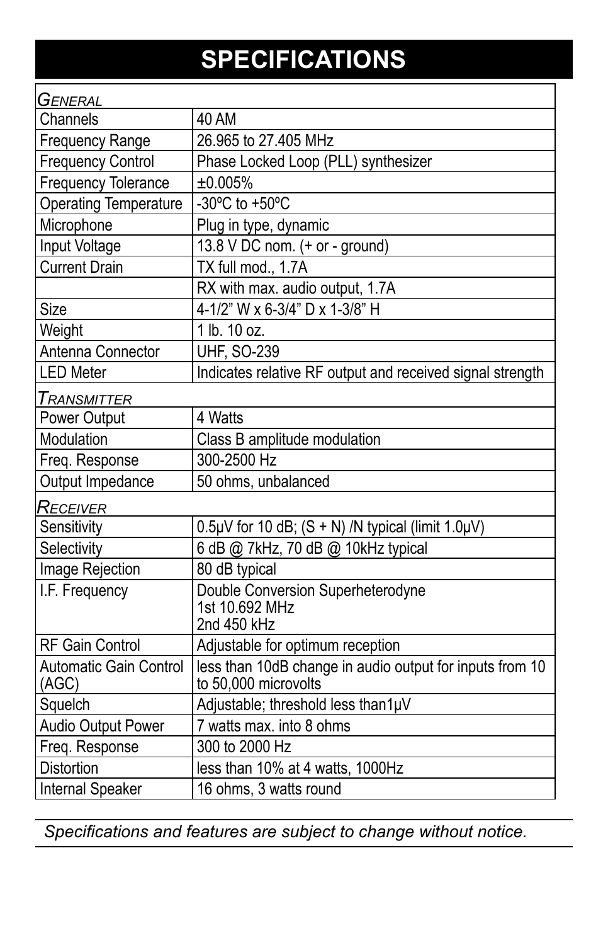## **SPECIFICATIONS**

| GENERAL                                |                                                                                  |
|----------------------------------------|----------------------------------------------------------------------------------|
| Channels                               | <b>40 AM</b>                                                                     |
| <b>Frequency Range</b>                 | 26.965 to 27.405 MHz                                                             |
| <b>Frequency Control</b>               | Phase Locked Loop (PLL) synthesizer                                              |
| <b>Frequency Tolerance</b>             | ±0.005%                                                                          |
| <b>Operating Temperature</b>           | $-30^{\circ}$ C to +50 $^{\circ}$ C                                              |
| Microphone                             | Plug in type, dynamic                                                            |
| Input Voltage                          | 13.8 V DC nom. (+ or - ground)                                                   |
| <b>Current Drain</b>                   | TX full mod., 1.7A                                                               |
|                                        | RX with max. audio output, 1.7A                                                  |
| Size                                   | 4-1/2" W x 6-3/4" D x 1-3/8" H                                                   |
| Weight                                 | 1 lb. 10 oz.                                                                     |
| Antenna Connector                      | <b>UHF, SO-239</b>                                                               |
| <b>LED Meter</b>                       | Indicates relative RF output and received signal strength                        |
| Transmitter                            |                                                                                  |
| Power Output                           | 4 Watts                                                                          |
| Modulation                             | Class B amplitude modulation                                                     |
| Freq. Response                         | 300-2500 Hz                                                                      |
| Output Impedance                       | 50 ohms, unbalanced                                                              |
| Receiver                               |                                                                                  |
| Sensitivity                            | $0.5\mu$ V for 10 dB; (S + N) /N typical (limit 1.0 $\mu$ V)                     |
| Selectivity                            | 6 dB @ 7kHz, 70 dB @ 10kHz typical                                               |
| Image Rejection                        | 80 dB typical                                                                    |
| I.F. Frequency                         | Double Conversion Superheterodyne<br>1st 10.692 MHz<br>2nd 450 kHz               |
| <b>RF Gain Control</b>                 | Adjustable for optimum reception                                                 |
| <b>Automatic Gain Control</b><br>(AGC) | less than 10dB change in audio output for inputs from 10<br>to 50,000 microvolts |
| Squelch                                | Adjustable; threshold less than1µV                                               |
| <b>Audio Output Power</b>              | 7 watts max. into 8 ohms                                                         |
| Freq. Response                         | 300 to 2000 Hz                                                                   |
| <b>Distortion</b>                      | less than 10% at 4 watts, 1000Hz                                                 |
| <b>Internal Speaker</b>                | 16 ohms, 3 watts round                                                           |

*Specifications and features are subject to change without notice.*